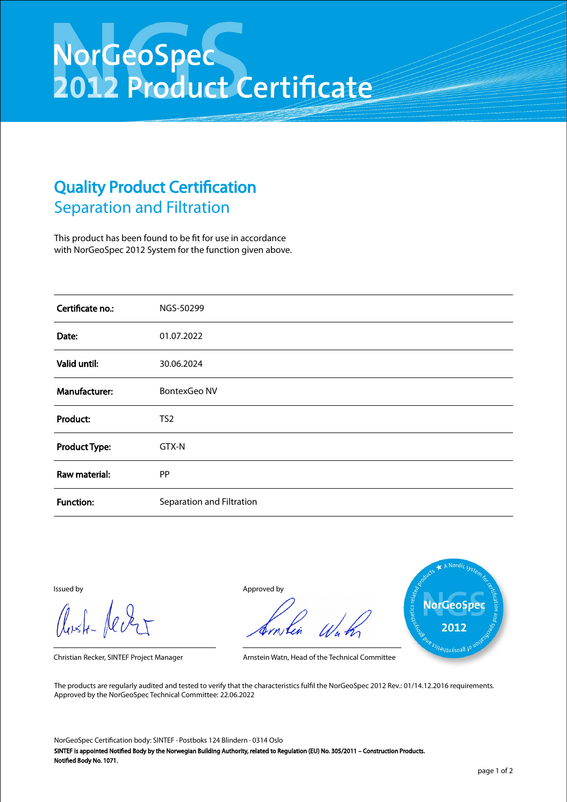## NorGeoSpec<br>2012 Product Certificate

## Quality Product Certification Separation and Filtration

This product has been found to be fit for use in accordance with NorGeoSpec 2012 System for the function given above.

| Certificate no.:     | NGS-50299                 |
|----------------------|---------------------------|
| Date:                | 01.07.2022                |
| Valid until:         | 30.06.2024                |
| Manufacturer:        | <b>BontexGeo NV</b>       |
| Product:             | TS <sub>2</sub>           |
| <b>Product Type:</b> | GTX-N                     |
| Raw material:        | PP                        |
| <b>Function:</b>     | Separation and Filtration |

Aust-Jever

Issued by Approved by



Christian Recker, SINTEF Project Manager Arnstein Watn, Head of the Technical Committee

The products are regularly audited and tested to verify that the characteristics fulfil the NorGeoSpec 2012 Rev.: 01/14.12.2016 requirements. Approved by the NorGeoSpec Technical Committee: 22.06.2022